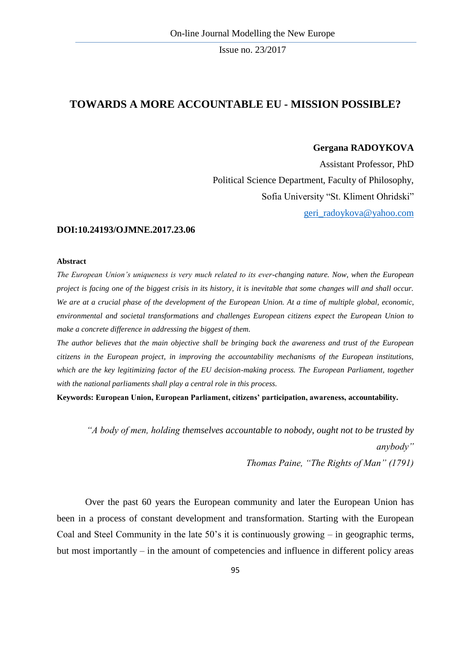# **TOWARDS A MORE ACCOUNTABLE EU - MISSION POSSIBLE?**

#### **Gergana RADOYKOVA**

Assistant Professor, PhD Political Science Department, Faculty of Philosophy, Sofia University "St. Kliment Ohridski" [geri\\_radoykova@yahoo.com](mailto:geri_radoykova@yahoo.com)

#### **DOI:10.24193/OJMNE.2017.23.06**

#### **Abstract**

*The European Union's uniqueness is very much related to its ever-changing nature. Now, when the European project is facing one of the biggest crisis in its history, it is inevitable that some changes will and shall occur.*  We are at a crucial phase of the development of the European Union. At a time of multiple global, economic, *environmental and societal transformations and challenges European citizens expect the European Union to make a concrete difference in addressing the biggest of them.*

*The author believes that the main objective shall be bringing back the awareness and trust of the European citizens in the European project, in improving the accountability mechanisms of the European institutions, which are the key legitimizing factor of the EU decision-making process. The European Parliament, together with the national parliaments shall play a central role in this process.*

**Keywords: European Union, European Parliament, citizens' participation, awareness, accountability.**

*"A body of men, holding themselves accountable to nobody, ought not to be trusted by anybody"*

*Thomas Paine, "The Rights of Man" (1791)*

Over the past 60 years the European community and later the European Union has been in a process of constant development and transformation. Starting with the European Coal and Steel Community in the late 50's it is continuously growing – in geographic terms, but most importantly – in the amount of competencies and influence in different policy areas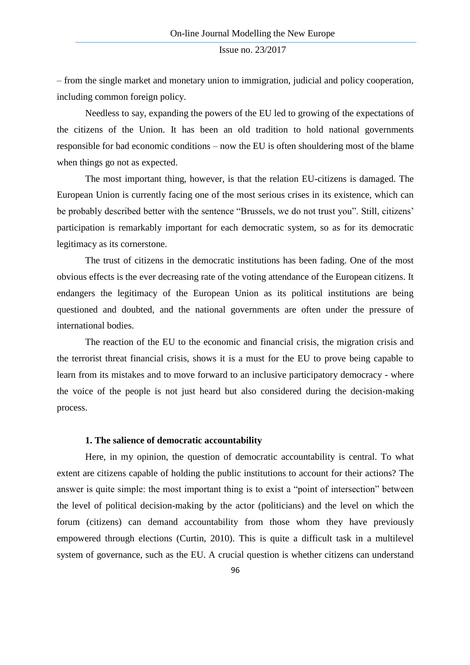– from the single market and monetary union to immigration, judicial and policy cooperation, including common foreign policy.

Needless to say, expanding the powers of the EU led to growing of the expectations of the citizens of the Union. It has been an old tradition to hold national governments responsible for bad economic conditions – now the EU is often shouldering most of the blame when things go not as expected.

The most important thing, however, is that the relation EU-citizens is damaged. The European Union is currently facing one of the most serious crises in its existence, which can be probably described better with the sentence "Brussels, we do not trust you". Still, citizens' participation is remarkably important for each democratic system, so as for its democratic legitimacy as its cornerstone.

The trust of citizens in the democratic institutions has been fading. One of the most obvious effects is the ever decreasing rate of the voting attendance of the European citizens. It endangers the legitimacy of the European Union as its political institutions are being questioned and doubted, and the national governments are often under the pressure of international bodies.

The reaction of the EU to the economic and financial crisis, the migration crisis and the terrorist threat financial crisis, shows it is a must for the EU to prove being capable to learn from its mistakes and to move forward to an inclusive participatory democracy - where the voice of the people is not just heard but also considered during the decision-making process.

## **1. The salience of democratic accountability**

Here, in my opinion, the question of democratic accountability is central. To what extent are citizens capable of holding the public institutions to account for their actions? The answer is quite simple: the most important thing is to exist a "point of intersection" between the level of political decision-making by the actor (politicians) and the level on which the forum (citizens) can demand accountability from those whom they have previously empowered through elections (Curtin, 2010). This is quite a difficult task in a multilevel system of governance, such as the EU. A crucial question is whether citizens can understand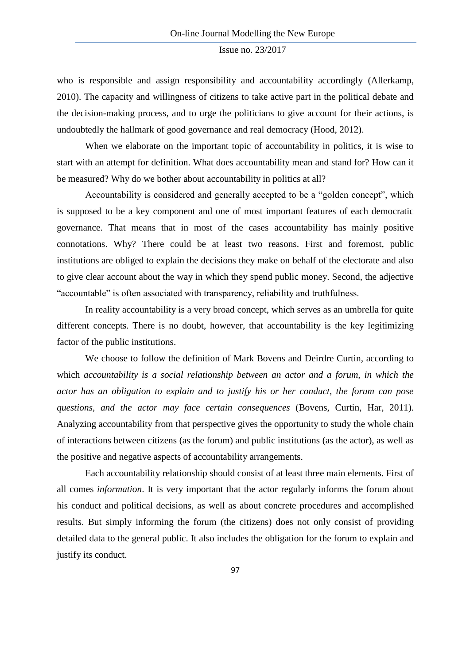who is responsible and assign responsibility and accountability accordingly (Allerkamp, 2010). The capacity and willingness of citizens to take active part in the political debate and the decision-making process, and to urge the politicians to give account for their actions, is undoubtedly the hallmark of good governance and real democracy (Hood, 2012).

When we elaborate on the important topic of accountability in politics, it is wise to start with an attempt for definition. What does accountability mean and stand for? How can it be measured? Why do we bother about accountability in politics at all?

Accountability is considered and generally accepted to be a "golden concept", which is supposed to be a key component and one of most important features of each democratic governance. That means that in most of the cases accountability has mainly positive connotations. Why? There could be at least two reasons. First and foremost, public institutions are obliged to explain the decisions they make on behalf of the electorate and also to give clear account about the way in which they spend public money. Second, the adjective "accountable" is often associated with transparency, reliability and truthfulness.

In reality accountability is a very broad concept, which serves as an umbrella for quite different concepts. There is no doubt, however, that accountability is the key legitimizing factor of the public institutions.

We choose to follow the definition of Mark Bovens and Deirdre Curtin, according to which *accountability is a social relationship between an actor and a forum, in which the actor has an obligation to explain and to justify his or her conduct, the forum can pose questions, and the actor may face certain consequences* (Bovens, Curtin, Har, 2011). Analyzing accountability from that perspective gives the opportunity to study the whole chain of interactions between citizens (as the forum) and public institutions (as the actor), as well as the positive and negative aspects of accountability arrangements.

Each accountability relationship should consist of at least three main elements. First of all comes *information*. It is very important that the actor regularly informs the forum about his conduct and political decisions, as well as about concrete procedures and accomplished results. But simply informing the forum (the citizens) does not only consist of providing detailed data to the general public. It also includes the obligation for the forum to explain and justify its conduct.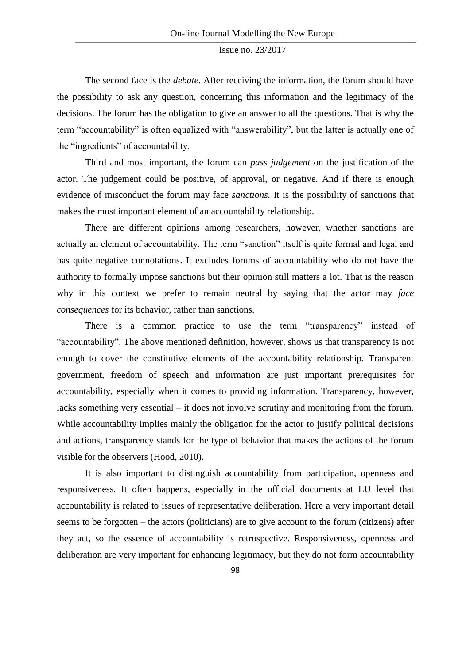The second face is the *debate*. After receiving the information, the forum should have the possibility to ask any question, concerning this information and the legitimacy of the decisions. The forum has the obligation to give an answer to all the questions. That is why the term "accountability" is often equalized with "answerability", but the latter is actually one of the "ingredients" of accountability.

Third and most important, the forum can *pass judgement* on the justification of the actor. The judgement could be positive, of approval, or negative. And if there is enough evidence of misconduct the forum may face *sanctions*. It is the possibility of sanctions that makes the most important element of an accountability relationship.

There are different opinions among researchers, however, whether sanctions are actually an element of accountability. The term "sanction" itself is quite formal and legal and has quite negative connotations. It excludes forums of accountability who do not have the authority to formally impose sanctions but their opinion still matters a lot. That is the reason why in this context we prefer to remain neutral by saying that the actor may *face consequences* for its behavior, rather than sanctions.

There is a common practice to use the term "transparency" instead of "accountability". The above mentioned definition, however, shows us that transparency is not enough to cover the constitutive elements of the accountability relationship. Transparent government, freedom of speech and information are just important prerequisites for accountability, especially when it comes to providing information. Transparency, however, lacks something very essential – it does not involve scrutiny and monitoring from the forum. While accountability implies mainly the obligation for the actor to justify political decisions and actions, transparency stands for the type of behavior that makes the actions of the forum visible for the observers (Hood, 2010).

It is also important to distinguish accountability from participation, openness and responsiveness. It often happens, especially in the official documents at EU level that accountability is related to issues of representative deliberation. Here a very important detail seems to be forgotten – the actors (politicians) are to give account to the forum (citizens) after they act, so the essence of accountability is retrospective. Responsiveness, openness and deliberation are very important for enhancing legitimacy, but they do not form accountability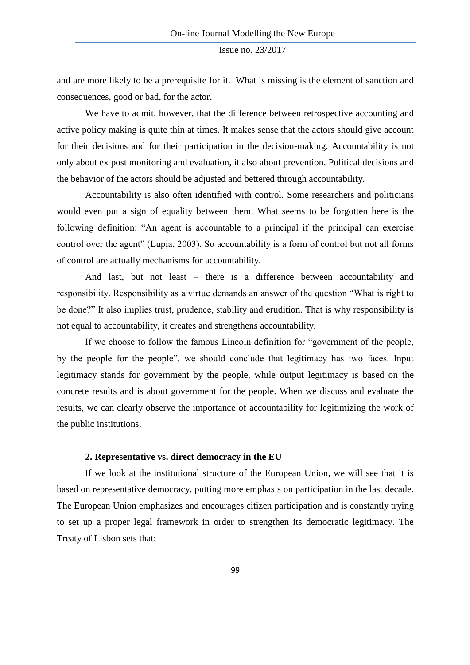and are more likely to be a prerequisite for it. What is missing is the element of sanction and consequences, good or bad, for the actor.

We have to admit, however, that the difference between retrospective accounting and active policy making is quite thin at times. It makes sense that the actors should give account for their decisions and for their participation in the decision-making. Accountability is not only about ex post monitoring and evaluation, it also about prevention. Political decisions and the behavior of the actors should be adjusted and bettered through accountability.

Accountability is also often identified with control. Some researchers and politicians would even put a sign of equality between them. What seems to be forgotten here is the following definition: "An agent is accountable to a principal if the principal can exercise control over the agent" (Lupia, 2003). So accountability is a form of control but not all forms of control are actually mechanisms for accountability.

And last, but not least – there is a difference between accountability and responsibility. Responsibility as a virtue demands an answer of the question "What is right to be done?" It also implies trust, prudence, stability and erudition. That is why responsibility is not equal to accountability, it creates and strengthens accountability.

If we choose to follow the famous Lincoln definition for "government of the people, by the people for the people", we should conclude that legitimacy has two faces. Input legitimacy stands for government by the people, while output legitimacy is based on the concrete results and is about government for the people. When we discuss and evaluate the results, we can clearly observe the importance of accountability for legitimizing the work of the public institutions.

### **2. Representative vs. direct democracy in the EU**

If we look at the institutional structure of the European Union, we will see that it is based on representative democracy, putting more emphasis on participation in the last decade. The European Union emphasizes and encourages citizen participation and is constantly trying to set up a proper legal framework in order to strengthen its democratic legitimacy. The Treaty of Lisbon sets that: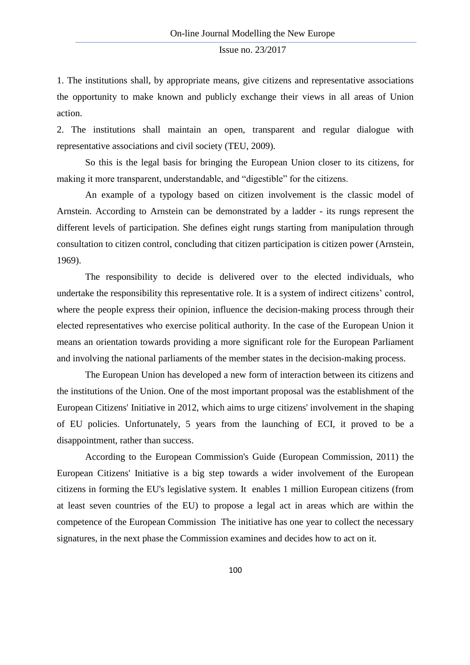1. The institutions shall, by appropriate means, give citizens and representative associations the opportunity to make known and publicly exchange their views in all areas of Union action.

2. The institutions shall maintain an open, transparent and regular dialogue with representative associations and civil society (TEU, 2009).

So this is the legal basis for bringing the European Union closer to its citizens, for making it more transparent, understandable, and "digestible" for the citizens.

An example of a typology based on citizen involvement is the classic model of Arnstein. According to Arnstein can be demonstrated by a ladder - its rungs represent the different levels of participation. She defines eight rungs starting from manipulation through consultation to citizen control, concluding that citizen participation is citizen power (Arnstein, 1969).

The responsibility to decide is delivered over to the elected individuals, who undertake the responsibility this representative role. It is a system of indirect citizens' control, where the people express their opinion, influence the decision-making process through their elected representatives who exercise political authority. In the case of the European Union it means an orientation towards providing a more significant role for the European Parliament and involving the national parliaments of the member states in the decision-making process.

The European Union has developed a new form of interaction between its citizens and the institutions of the Union. One of the most important proposal was the establishment of the European Citizens' Initiative in 2012, which aims to urge citizens' involvement in the shaping of EU policies. Unfortunately, 5 years from the launching of ECI, it proved to be a disappointment, rather than success.

According to the European Commission's Guide (European Commission, 2011) the European Citizens' Initiative is a big step towards a wider involvement of the European citizens in forming the EU's legislative system. It enables 1 million European citizens (from at least seven countries of the EU) to propose a legal act in areas which are within the competence of the European Commission The initiative has one year to collect the necessary signatures, in the next phase the Commission examines and decides how to act on it.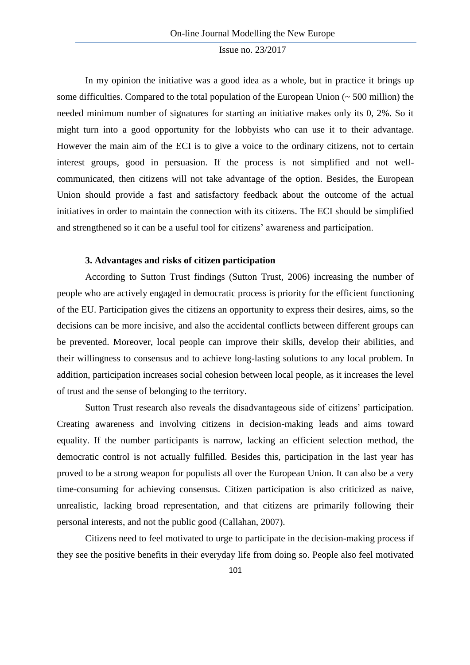In my opinion the initiative was a good idea as a whole, but in practice it brings up some difficulties. Compared to the total population of the European Union  $($   $\sim$  500 million) the needed minimum number of signatures for starting an initiative makes only its 0, 2%. So it might turn into a good opportunity for the lobbyists who can use it to their advantage. However the main aim of the ECI is to give a voice to the ordinary citizens, not to certain interest groups, good in persuasion. If the process is not simplified and not wellcommunicated, then citizens will not take advantage of the option. Besides, the European Union should provide a fast and satisfactory feedback about the outcome of the actual initiatives in order to maintain the connection with its citizens. The ECI should be simplified and strengthened so it can be a useful tool for citizens' awareness and participation.

### **3. Advantages and risks of citizen participation**

According to Sutton Trust findings (Sutton Trust, 2006) increasing the number of people who are actively engaged in democratic process is priority for the efficient functioning of the EU. Participation gives the citizens an opportunity to express their desires, aims, so the decisions can be more incisive, and also the accidental conflicts between different groups can be prevented. Moreover, local people can improve their skills, develop their abilities, and their willingness to consensus and to achieve long-lasting solutions to any local problem. In addition, participation increases social cohesion between local people, as it increases the level of trust and the sense of belonging to the territory.

Sutton Trust research also reveals the disadvantageous side of citizens' participation. Creating awareness and involving citizens in decision-making leads and aims toward equality. If the number participants is narrow, lacking an efficient selection method, the democratic control is not actually fulfilled. Besides this, participation in the last year has proved to be a strong weapon for populists all over the European Union. It can also be a very time-consuming for achieving consensus. Citizen participation is also criticized as naive, unrealistic, lacking broad representation, and that citizens are primarily following their personal interests, and not the public good (Callahan, 2007).

Citizens need to feel motivated to urge to participate in the decision-making process if they see the positive benefits in their everyday life from doing so. People also feel motivated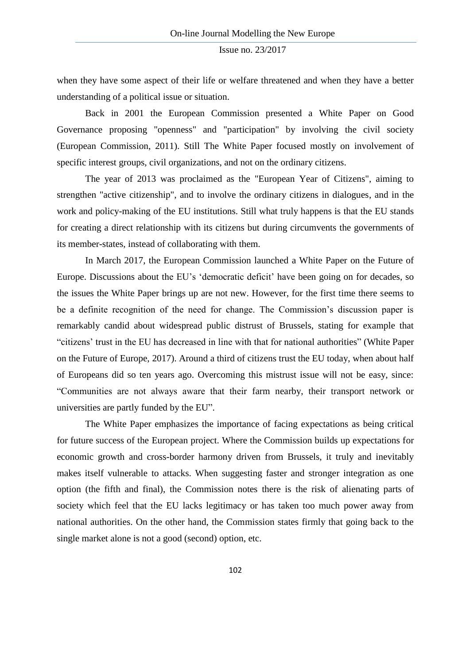when they have some aspect of their life or welfare threatened and when they have a better understanding of a political issue or situation.

Back in 2001 the European Commission presented a White Paper on Good Governance proposing "openness" and "participation" by involving the civil society (European Commission, 2011). Still The White Paper focused mostly on involvement of specific interest groups, civil organizations, and not on the ordinary citizens.

The year of 2013 was proclaimed as the "European Year of Citizens", aiming to strengthen "active citizenship", and to involve the ordinary citizens in dialogues, and in the work and policy-making of the EU institutions. Still what truly happens is that the EU stands for creating a direct relationship with its citizens but during circumvents the governments of its member-states, instead of collaborating with them.

In March 2017, the European Commission launched a White Paper on the Future of Europe. Discussions about the EU's 'democratic deficit' have been going on for decades, so the issues the White Paper brings up are not new. However, for the first time there seems to be a definite recognition of the need for change. The Commission's discussion paper is remarkably candid about widespread public distrust of Brussels, stating for example that "citizens' trust in the EU has decreased in line with that for national authorities" (White Paper on the Future of Europe, 2017). Around a third of citizens trust the EU today, when about half of Europeans did so ten years ago. Overcoming this mistrust issue will not be easy, since: "Communities are not always aware that their farm nearby, their transport network or universities are partly funded by the EU".

The White Paper emphasizes the importance of facing expectations as being critical for future success of the European project. Where the Commission builds up expectations for economic growth and cross-border harmony driven from Brussels, it truly and inevitably makes itself vulnerable to attacks. When suggesting faster and stronger integration as one option (the fifth and final), the Commission notes there is the risk of alienating parts of society which feel that the EU lacks legitimacy or has taken too much power away from national authorities. On the other hand, the Commission states firmly that going back to the single market alone is not a good (second) option, etc.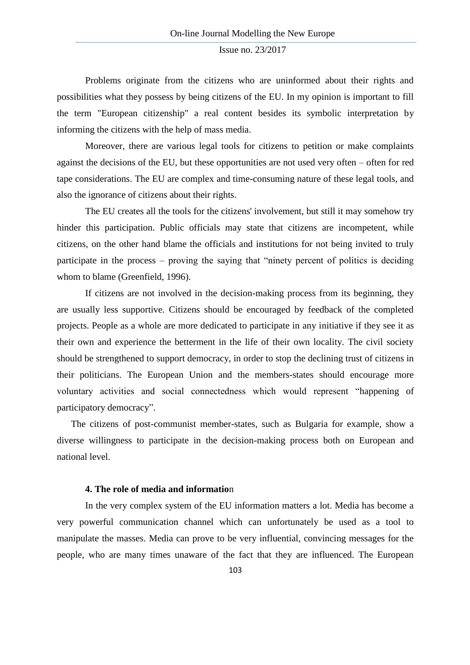Problems originate from the citizens who are uninformed about their rights and possibilities what they possess by being citizens of the EU. In my opinion is important to fill the term "European citizenship" a real content besides its symbolic interpretation by informing the citizens with the help of mass media.

Moreover, there are various legal tools for citizens to petition or make complaints against the decisions of the EU, but these opportunities are not used very often – often for red tape considerations. The EU are complex and time-consuming nature of these legal tools, and also the ignorance of citizens about their rights.

The EU creates all the tools for the citizens' involvement, but still it may somehow try hinder this participation. Public officials may state that citizens are incompetent, while citizens, on the other hand blame the officials and institutions for not being invited to truly participate in the process – proving the saying that "ninety percent of politics is deciding whom to blame (Greenfield, 1996).

If citizens are not involved in the decision-making process from its beginning, they are usually less supportive. Citizens should be encouraged by feedback of the completed projects. People as a whole are more dedicated to participate in any initiative if they see it as their own and experience the betterment in the life of their own locality. The civil society should be strengthened to support democracy, in order to stop the declining trust of citizens in their politicians. The European Union and the members-states should encourage more voluntary activities and social connectedness which would represent "happening of participatory democracy".

The citizens of post-communist member-states, such as Bulgaria for example, show a diverse willingness to participate in the decision-making process both on European and national level.

## **4. The role of media and informatio**n

In the very complex system of the EU information matters a lot. Media has become a very powerful communication channel which can unfortunately be used as a tool to manipulate the masses. Media can prove to be very influential, convincing messages for the people, who are many times unaware of the fact that they are influenced. The European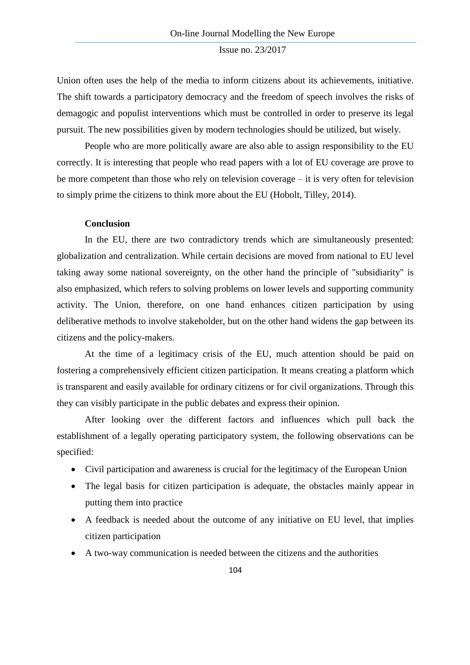Union often uses the help of the media to inform citizens about its achievements, initiative. The shift towards a participatory democracy and the freedom of speech involves the risks of demagogic and populist interventions which must be controlled in order to preserve its legal pursuit. The new possibilities given by modern technologies should be utilized, but wisely.

People who are more politically aware are also able to assign responsibility to the EU correctly. It is interesting that people who read papers with a lot of EU coverage are prove to be more competent than those who rely on television coverage – it is very often for television to simply prime the citizens to think more about the EU (Hobolt, Tilley, 2014).

## **Conclusion**

In the EU, there are two contradictory trends which are simultaneously presented: globalization and centralization. While certain decisions are moved from national to EU level taking away some national sovereignty, on the other hand the principle of "subsidiarity" is also emphasized, which refers to solving problems on lower levels and supporting community activity. The Union, therefore, on one hand enhances citizen participation by using deliberative methods to involve stakeholder, but on the other hand widens the gap between its citizens and the policy-makers.

At the time of a legitimacy crisis of the EU, much attention should be paid on fostering a comprehensively efficient citizen participation. It means creating a platform which is transparent and easily available for ordinary citizens or for civil organizations. Through this they can visibly participate in the public debates and express their opinion.

After looking over the different factors and influences which pull back the establishment of a legally operating participatory system, the following observations can be specified:

- Civil participation and awareness is crucial for the legitimacy of the European Union
- The legal basis for citizen participation is adequate, the obstacles mainly appear in putting them into practice
- A feedback is needed about the outcome of any initiative on EU level, that implies citizen participation
- A two-way communication is needed between the citizens and the authorities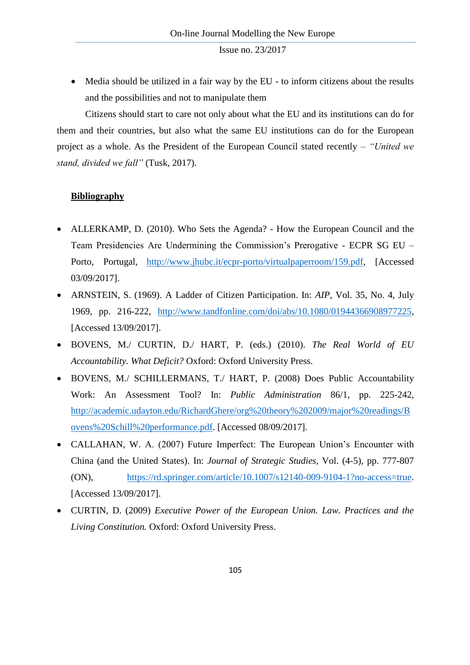• Media should be utilized in a fair way by the EU - to inform citizens about the results and the possibilities and not to manipulate them

Citizens should start to care not only about what the EU and its institutions can do for them and their countries, but also what the same EU institutions can do for the European project as a whole. As the President of the European Council stated recently – *"United we stand, divided we fall"* (Tusk, 2017).

# **Bibliography**

- ALLERKAMP, D. (2010). Who Sets the Agenda? How the European Council and the Team Presidencies Are Undermining the Commission's Prerogative - ECPR SG EU – Porto, Portugal, [http://www.jhubc.it/ecpr-porto/virtualpaperroom/159.pdf,](http://www.jhubc.it/ecpr-porto/virtualpaperroom/159.pdf) [Accessed 03/09/2017].
- ARNSTEIN, S. (1969). A Ladder of Citizen Participation. In: *AIP*, Vol. 35, No. 4, July 1969, pp. 216-222, [http://www.tandfonline.com/doi/abs/10.1080/01944366908977225,](http://www.tandfonline.com/doi/abs/10.1080/01944366908977225) [Accessed 13/09/2017].
- BOVENS, M./ CURTIN, D./ HART, P. (eds.) (2010). *The Real World of EU Accountability. What Deficit?* Oxford: Oxford University Press.
- BOVENS, M./ SCHILLERMANS, T./ HART, P. (2008) Does Public Accountability Work: An Assessment Tool? In: *Public Administration* 86/1, pp. 225-242, [http://academic.udayton.edu/RichardGhere/org%20theory%202009/major%20readings/B](http://academic.udayton.edu/RichardGhere/org%20theory%202009/major%20readings/Bovens%20Schill%20performance.pdf) [ovens%20Schill%20performance.pdf.](http://academic.udayton.edu/RichardGhere/org%20theory%202009/major%20readings/Bovens%20Schill%20performance.pdf) [Accessed 08/09/2017].
- CALLAHAN, W. A. (2007) Future Imperfect: The European Union's Encounter with China (and the United States). In: *Journal of Strategic Studies*, Vol. (4-5), pp. 777-807 (ON), [https://rd.springer.com/article/10.1007/s12140-009-9104-1?no-access=true.](https://rd.springer.com/article/10.1007/s12140-009-9104-1?no-access=true) [Accessed 13/09/2017].
- CURTIN, D. (2009) *Executive Power of the European Union. Law. Practices and the Living Constitution.* Oxford: Oxford University Press.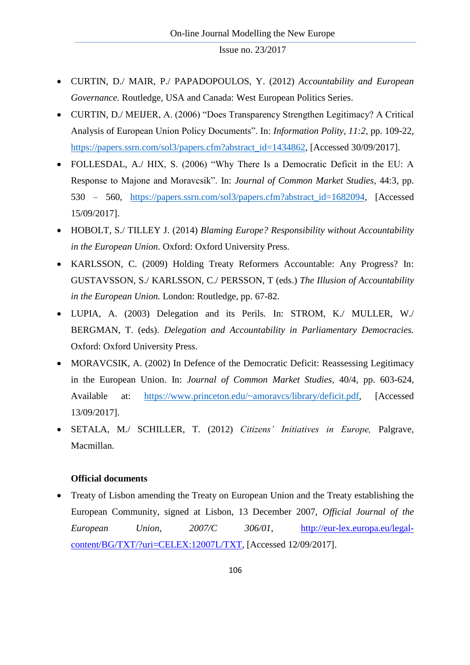- CURTIN, D./ MAIR, P./ PAPADOPOULOS, Y. (2012) *Accountability and European Governance.* Routledge, USA and Canada: West European Politics Series.
- CURTIN, D./ MEIJER, A. (2006) "Does Transparency Strengthen Legitimacy? A Critical Analysis of European Union Policy Documents". In: *Information Polity, 11:2,* pp. 109-22, [https://papers.ssrn.com/sol3/papers.cfm?abstract\\_id=1434862,](https://papers.ssrn.com/sol3/papers.cfm?abstract_id=1434862) [Accessed 30/09/2017].
- FOLLESDAL, A./ HIX, S. (2006) "Why There Is a Democratic Deficit in the EU: A Response to Majone and Moravcsik". In: *Journal of Common Market Studies,* 44:3, pp. 530 – 560, [https://papers.ssrn.com/sol3/papers.cfm?abstract\\_id=1682094,](https://papers.ssrn.com/sol3/papers.cfm?abstract_id=1682094) [Accessed 15/09/2017].
- HOBOLT, S./ TILLEY J. (2014) *Blaming Europe? Responsibility without Accountability in the European Union*. Oxford: Oxford University Press.
- KARLSSON, C. (2009) Holding Treaty Reformers Accountable: Any Progress? In: GUSTAVSSON, S./ KARLSSON, C./ PERSSON, T (eds.) *The Illusion of Accountability in the European Union.* London: Routledge, pp. 67-82.
- LUPIA, A. (2003) Delegation and its Perils. In: STROM, K./ MULLER, W./ BERGMAN, T. (eds). *Delegation and Accountability in Parliamentary Democracies.*  Oxford: Oxford University Press.
- MORAVCSIK, A. (2002) In Defence of the Democratic Deficit: Reassessing Legitimacy in the European Union. In: *Journal of Common Market Studies*, 40/4, pp. 603-624, Available at: [https://www.princeton.edu/~amoravcs/library/deficit.pdf,](https://www.princeton.edu/~amoravcs/library/deficit.pdf) [Accessed 13/09/2017].
- SETALA, M./ SCHILLER, T. (2012) *Citizens' Initiatives in Europe,* Palgrave, Macmillan.

# **Official documents**

 Treaty of Lisbon amending the Treaty on European Union and the Treaty establishing the European Community, signed at Lisbon, 13 December 2007, *Official Journal of the European Union, 2007/C 306/01*, [http://eur-lex.europa.eu/legal](http://eur-lex.europa.eu/legal-content/BG/TXT/?uri=CELEX:12007L/TXT)[content/BG/TXT/?uri=CELEX:12007L/TXT,](http://eur-lex.europa.eu/legal-content/BG/TXT/?uri=CELEX:12007L/TXT) [Accessed 12/09/2017].